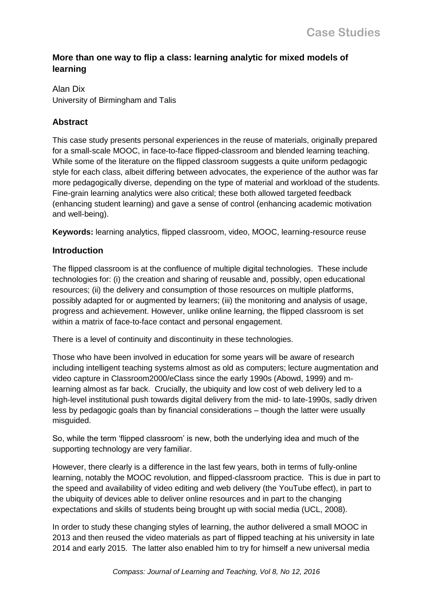# **More than one way to flip a class: learning analytic for mixed models of learning**

# Alan Dix University of Birmingham and Talis

# **Abstract**

This case study presents personal experiences in the reuse of materials, originally prepared for a small-scale MOOC, in face-to-face flipped-classroom and blended learning teaching. While some of the literature on the flipped classroom suggests a quite uniform pedagogic style for each class, albeit differing between advocates, the experience of the author was far more pedagogically diverse, depending on the type of material and workload of the students. Fine-grain learning analytics were also critical; these both allowed targeted feedback (enhancing student learning) and gave a sense of control (enhancing academic motivation and well-being).

**Keywords:** learning analytics, flipped classroom, video, MOOC, learning-resource reuse

# **Introduction**

The flipped classroom is at the confluence of multiple digital technologies. These include technologies for: (i) the creation and sharing of reusable and, possibly, open educational resources; (ii) the delivery and consumption of those resources on multiple platforms, possibly adapted for or augmented by learners; (iii) the monitoring and analysis of usage, progress and achievement. However, unlike online learning, the flipped classroom is set within a matrix of face-to-face contact and personal engagement.

There is a level of continuity and discontinuity in these technologies.

Those who have been involved in education for some years will be aware of research including intelligent teaching systems almost as old as computers; lecture augmentation and video capture in Classroom2000/eClass since the early 1990s (Abowd, 1999) and mlearning almost as far back. Crucially, the ubiquity and low cost of web delivery led to a high-level institutional push towards digital delivery from the mid- to late-1990s, sadly driven less by pedagogic goals than by financial considerations – though the latter were usually misguided.

So, while the term 'flipped classroom' is new, both the underlying idea and much of the supporting technology are very familiar.

However, there clearly is a difference in the last few years, both in terms of fully-online learning, notably the MOOC revolution, and flipped-classroom practice. This is due in part to the speed and availability of video editing and web delivery (the YouTube effect), in part to the ubiquity of devices able to deliver online resources and in part to the changing expectations and skills of students being brought up with social media (UCL, 2008).

In order to study these changing styles of learning, the author delivered a small MOOC in 2013 and then reused the video materials as part of flipped teaching at his university in late 2014 and early 2015. The latter also enabled him to try for himself a new universal media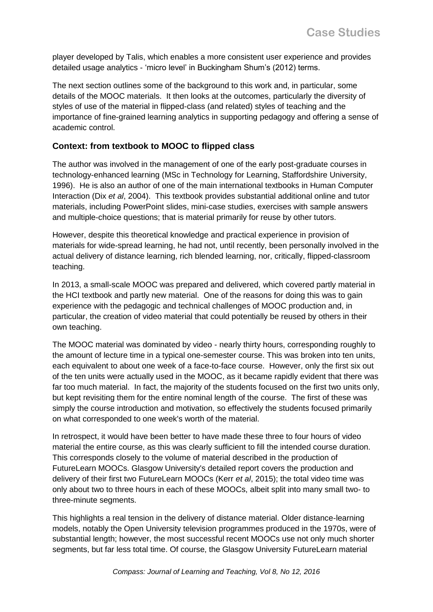player developed by Talis, which enables a more consistent user experience and provides detailed usage analytics - 'micro level' in Buckingham Shum's (2012) terms.

The next section outlines some of the background to this work and, in particular, some details of the MOOC materials. It then looks at the outcomes, particularly the diversity of styles of use of the material in flipped-class (and related) styles of teaching and the importance of fine-grained learning analytics in supporting pedagogy and offering a sense of academic control.

# **Context: from textbook to MOOC to flipped class**

The author was involved in the management of one of the early post-graduate courses in technology-enhanced learning (MSc in Technology for Learning, Staffordshire University, 1996). He is also an author of one of the main international textbooks in Human Computer Interaction (Dix *et al*, 2004). This textbook provides substantial additional online and tutor materials, including PowerPoint slides, mini-case studies, exercises with sample answers and multiple-choice questions; that is material primarily for reuse by other tutors.

However, despite this theoretical knowledge and practical experience in provision of materials for wide-spread learning, he had not, until recently, been personally involved in the actual delivery of distance learning, rich blended learning, nor, critically, flipped-classroom teaching.

In 2013, a small-scale MOOC was prepared and delivered, which covered partly material in the HCI textbook and partly new material. One of the reasons for doing this was to gain experience with the pedagogic and technical challenges of MOOC production and, in particular, the creation of video material that could potentially be reused by others in their own teaching.

The MOOC material was dominated by video - nearly thirty hours, corresponding roughly to the amount of lecture time in a typical one-semester course. This was broken into ten units, each equivalent to about one week of a face-to-face course. However, only the first six out of the ten units were actually used in the MOOC, as it became rapidly evident that there was far too much material. In fact, the majority of the students focused on the first two units only, but kept revisiting them for the entire nominal length of the course. The first of these was simply the course introduction and motivation, so effectively the students focused primarily on what corresponded to one week's worth of the material.

In retrospect, it would have been better to have made these three to four hours of video material the entire course, as this was clearly sufficient to fill the intended course duration. This corresponds closely to the volume of material described in the production of FutureLearn MOOCs. Glasgow University's detailed report covers the production and delivery of their first two FutureLearn MOOCs (Kerr *et al*, 2015); the total video time was only about two to three hours in each of these MOOCs, albeit split into many small two- to three-minute segments.

This highlights a real tension in the delivery of distance material. Older distance-learning models, notably the Open University television programmes produced in the 1970s, were of substantial length; however, the most successful recent MOOCs use not only much shorter segments, but far less total time. Of course, the Glasgow University FutureLearn material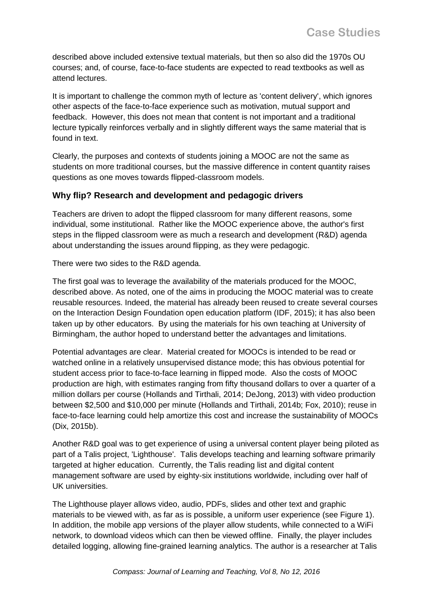described above included extensive textual materials, but then so also did the 1970s OU courses; and, of course, face-to-face students are expected to read textbooks as well as attend lectures.

It is important to challenge the common myth of lecture as 'content delivery', which ignores other aspects of the face-to-face experience such as motivation, mutual support and feedback. However, this does not mean that content is not important and a traditional lecture typically reinforces verbally and in slightly different ways the same material that is found in text.

Clearly, the purposes and contexts of students joining a MOOC are not the same as students on more traditional courses, but the massive difference in content quantity raises questions as one moves towards flipped-classroom models.

#### **Why flip? Research and development and pedagogic drivers**

Teachers are driven to adopt the flipped classroom for many different reasons, some individual, some institutional. Rather like the MOOC experience above, the author's first steps in the flipped classroom were as much a research and development (R&D) agenda about understanding the issues around flipping, as they were pedagogic.

There were two sides to the R&D agenda.

The first goal was to leverage the availability of the materials produced for the MOOC, described above. As noted, one of the aims in producing the MOOC material was to create reusable resources. Indeed, the material has already been reused to create several courses on the Interaction Design Foundation open education platform (IDF, 2015); it has also been taken up by other educators. By using the materials for his own teaching at University of Birmingham, the author hoped to understand better the advantages and limitations.

Potential advantages are clear. Material created for MOOCs is intended to be read or watched online in a relatively unsupervised distance mode; this has obvious potential for student access prior to face-to-face learning in flipped mode. Also the costs of MOOC production are high, with estimates ranging from fifty thousand dollars to over a quarter of a million dollars per course (Hollands and Tirthali, 2014; DeJong, 2013) with video production between \$2,500 and \$10,000 per minute (Hollands and Tirthali, 2014b; Fox, 2010); reuse in face-to-face learning could help amortize this cost and increase the sustainability of MOOCs (Dix, 2015b).

Another R&D goal was to get experience of using a universal content player being piloted as part of a Talis project, 'Lighthouse'. Talis develops teaching and learning software primarily targeted at higher education. Currently, the Talis reading list and digital content management software are used by eighty-six institutions worldwide, including over half of UK universities.

The Lighthouse player allows video, audio, PDFs, slides and other text and graphic materials to be viewed with, as far as is possible, a uniform user experience (see Figure 1). In addition, the mobile app versions of the player allow students, while connected to a WiFi network, to download videos which can then be viewed offline. Finally, the player includes detailed logging, allowing fine-grained learning analytics. The author is a researcher at Talis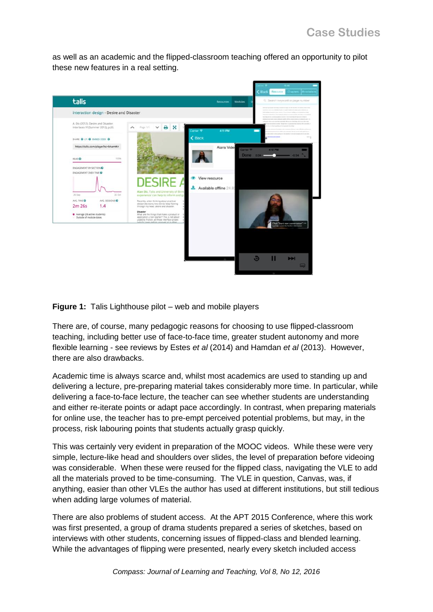as well as an academic and the flipped-classroom teaching offered an opportunity to pilot these new features in a real setting.



**Figure 1:** Talis Lighthouse pilot – web and mobile players

There are, of course, many pedagogic reasons for choosing to use flipped-classroom teaching, including better use of face-to-face time, greater student autonomy and more flexible learning - see reviews by Estes *et al* (2014) and Hamdan *et al* (2013). However, there are also drawbacks.

Academic time is always scarce and, whilst most academics are used to standing up and delivering a lecture, pre-preparing material takes considerably more time. In particular, while delivering a face-to-face lecture, the teacher can see whether students are understanding and either re-iterate points or adapt pace accordingly. In contrast, when preparing materials for online use, the teacher has to pre-empt perceived potential problems, but may, in the process, risk labouring points that students actually grasp quickly.

This was certainly very evident in preparation of the MOOC videos. While these were very simple, lecture-like head and shoulders over slides, the level of preparation before videoing was considerable. When these were reused for the flipped class, navigating the VLE to add all the materials proved to be time-consuming. The VLE in question, Canvas, was, if anything, easier than other VLEs the author has used at different institutions, but still tedious when adding large volumes of material.

There are also problems of student access. At the APT 2015 Conference, where this work was first presented, a group of drama students prepared a series of sketches, based on interviews with other students, concerning issues of flipped-class and blended learning. While the advantages of flipping were presented, nearly every sketch included access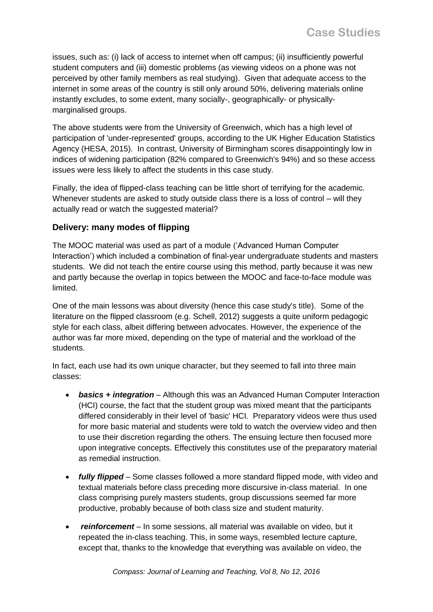issues, such as: (i) lack of access to internet when off campus; (ii) insufficiently powerful student computers and (iii) domestic problems (as viewing videos on a phone was not perceived by other family members as real studying). Given that adequate access to the internet in some areas of the country is still only around 50%, delivering materials online instantly excludes, to some extent, many socially-, geographically- or physicallymarginalised groups.

The above students were from the University of Greenwich, which has a high level of participation of 'under-represented' groups, according to the UK Higher Education Statistics Agency (HESA, 2015). In contrast, University of Birmingham scores disappointingly low in indices of widening participation (82% compared to Greenwich's 94%) and so these access issues were less likely to affect the students in this case study.

Finally, the idea of flipped-class teaching can be little short of terrifying for the academic. Whenever students are asked to study outside class there is a loss of control – will they actually read or watch the suggested material?

#### **Delivery: many modes of flipping**

The MOOC material was used as part of a module ('Advanced Human Computer Interaction') which included a combination of final-year undergraduate students and masters students. We did not teach the entire course using this method, partly because it was new and partly because the overlap in topics between the MOOC and face-to-face module was limited.

One of the main lessons was about diversity (hence this case study's title). Some of the literature on the flipped classroom (e.g. Schell, 2012) suggests a quite uniform pedagogic style for each class, albeit differing between advocates. However, the experience of the author was far more mixed, depending on the type of material and the workload of the students.

In fact, each use had its own unique character, but they seemed to fall into three main classes:

- *basics + integration* Although this was an Advanced Human Computer Interaction (HCI) course, the fact that the student group was mixed meant that the participants differed considerably in their level of 'basic' HCI. Preparatory videos were thus used for more basic material and students were told to watch the overview video and then to use their discretion regarding the others. The ensuing lecture then focused more upon integrative concepts. Effectively this constitutes use of the preparatory material as remedial instruction.
- *fully flipped* Some classes followed a more standard flipped mode, with video and textual materials before class preceding more discursive in-class material. In one class comprising purely masters students, group discussions seemed far more productive, probably because of both class size and student maturity.
- *reinforcement* In some sessions, all material was available on video, but it repeated the in-class teaching. This, in some ways, resembled lecture capture, except that, thanks to the knowledge that everything was available on video, the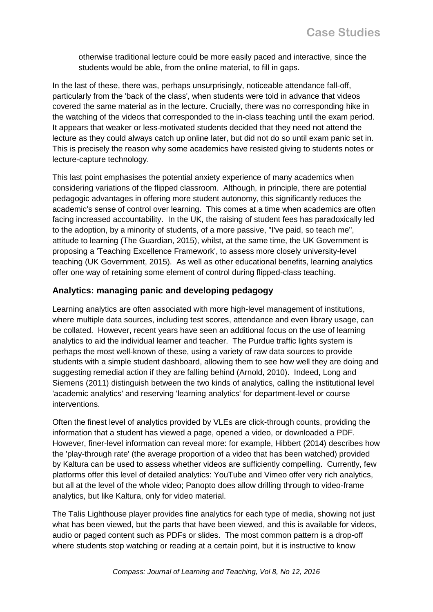otherwise traditional lecture could be more easily paced and interactive, since the students would be able, from the online material, to fill in gaps.

In the last of these, there was, perhaps unsurprisingly, noticeable attendance fall-off, particularly from the 'back of the class', when students were told in advance that videos covered the same material as in the lecture. Crucially, there was no corresponding hike in the watching of the videos that corresponded to the in-class teaching until the exam period. It appears that weaker or less-motivated students decided that they need not attend the lecture as they could always catch up online later, but did not do so until exam panic set in. This is precisely the reason why some academics have resisted giving to students notes or lecture-capture technology.

This last point emphasises the potential anxiety experience of many academics when considering variations of the flipped classroom. Although, in principle, there are potential pedagogic advantages in offering more student autonomy, this significantly reduces the academic's sense of control over learning. This comes at a time when academics are often facing increased accountability. In the UK, the raising of student fees has paradoxically led to the adoption, by a minority of students, of a more passive, "I've paid, so teach me", attitude to learning (The Guardian, 2015), whilst, at the same time, the UK Government is proposing a 'Teaching Excellence Framework', to assess more closely university-level teaching (UK Government, 2015). As well as other educational benefits, learning analytics offer one way of retaining some element of control during flipped-class teaching.

## **Analytics: managing panic and developing pedagogy**

Learning analytics are often associated with more high-level management of institutions, where multiple data sources, including test scores, attendance and even library usage, can be collated. However, recent years have seen an additional focus on the use of learning analytics to aid the individual learner and teacher. The Purdue traffic lights system is perhaps the most well-known of these, using a variety of raw data sources to provide students with a simple student dashboard, allowing them to see how well they are doing and suggesting remedial action if they are falling behind (Arnold, 2010). Indeed, Long and Siemens (2011) distinguish between the two kinds of analytics, calling the institutional level 'academic analytics' and reserving 'learning analytics' for department-level or course interventions.

Often the finest level of analytics provided by VLEs are click-through counts, providing the information that a student has viewed a page, opened a video, or downloaded a PDF. However, finer-level information can reveal more: for example, Hibbert (2014) describes how the 'play-through rate' (the average proportion of a video that has been watched) provided by Kaltura can be used to assess whether videos are sufficiently compelling. Currently, few platforms offer this level of detailed analytics: YouTube and Vimeo offer very rich analytics, but all at the level of the whole video; Panopto does allow drilling through to video-frame analytics, but like Kaltura, only for video material.

The Talis Lighthouse player provides fine analytics for each type of media, showing not just what has been viewed, but the parts that have been viewed, and this is available for videos, audio or paged content such as PDFs or slides. The most common pattern is a drop-off where students stop watching or reading at a certain point, but it is instructive to know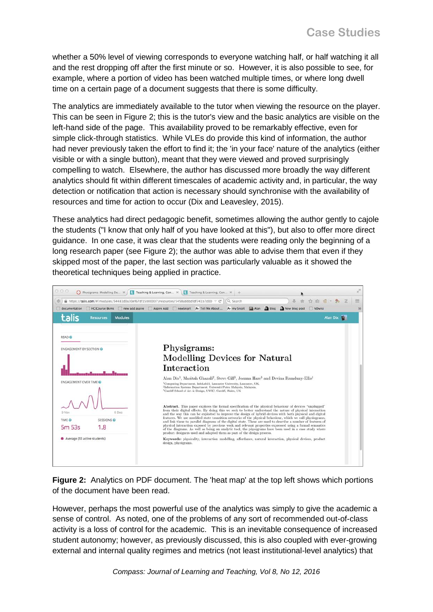whether a 50% level of viewing corresponds to everyone watching half, or half watching it all and the rest dropping off after the first minute or so. However, it is also possible to see, for example, where a portion of video has been watched multiple times, or where long dwell time on a certain page of a document suggests that there is some difficulty.

The analytics are immediately available to the tutor when viewing the resource on the player. This can be seen in Figure 2; this is the tutor's view and the basic analytics are visible on the left-hand side of the page. This availability proved to be remarkably effective, even for simple click-through statistics. While VLEs do provide this kind of information, the author had never previously taken the effort to find it; the 'in your face' nature of the analytics (either visible or with a single button), meant that they were viewed and proved surprisingly compelling to watch. Elsewhere, the author has discussed more broadly the way different analytics should fit within different timescales of academic activity and, in particular, the way detection or notification that action is necessary should synchronise with the availability of resources and time for action to occur (Dix and Leavesley, 2015).

These analytics had direct pedagogic benefit, sometimes allowing the author gently to cajole the students ("I know that only half of you have looked at this"), but also to offer more direct guidance. In one case, it was clear that the students were reading only the beginning of a long research paper (see Figure 2); the author was able to advise them that even if they skipped most of the paper, the last section was particularly valuable as it showed the theoretical techniques being applied in practice.



**Figure 2:** Analytics on PDF document. The 'heat map' at the top left shows which portions of the document have been read.

However, perhaps the most powerful use of the analytics was simply to give the academic a sense of control. As noted, one of the problems of any sort of recommended out-of-class activity is a loss of control for the academic. This is an inevitable consequence of increased student autonomy; however, as previously discussed, this is also coupled with ever-growing external and internal quality regimes and metrics (not least institutional-level analytics) that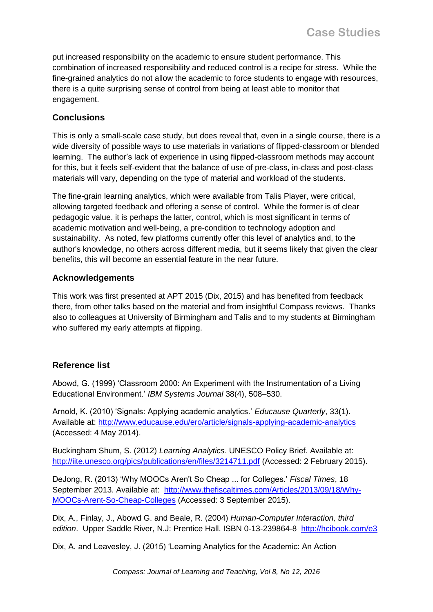put increased responsibility on the academic to ensure student performance. This combination of increased responsibility and reduced control is a recipe for stress. While the fine-grained analytics do not allow the academic to force students to engage with resources, there is a quite surprising sense of control from being at least able to monitor that engagement.

## **Conclusions**

This is only a small-scale case study, but does reveal that, even in a single course, there is a wide diversity of possible ways to use materials in variations of flipped-classroom or blended learning. The author's lack of experience in using flipped-classroom methods may account for this, but it feels self-evident that the balance of use of pre-class, in-class and post-class materials will vary, depending on the type of material and workload of the students.

The fine-grain learning analytics, which were available from Talis Player, were critical, allowing targeted feedback and offering a sense of control. While the former is of clear pedagogic value. it is perhaps the latter, control, which is most significant in terms of academic motivation and well-being, a pre-condition to technology adoption and sustainability. As noted, few platforms currently offer this level of analytics and, to the author's knowledge, no others across different media, but it seems likely that given the clear benefits, this will become an essential feature in the near future.

#### **Acknowledgements**

This work was first presented at APT 2015 (Dix, 2015) and has benefited from feedback there, from other talks based on the material and from insightful Compass reviews. Thanks also to colleagues at University of Birmingham and Talis and to my students at Birmingham who suffered my early attempts at flipping.

## **Reference list**

Abowd, G. (1999) 'Classroom 2000: An Experiment with the Instrumentation of a Living Educational Environment.' *IBM Systems Journal* 38(4), 508–530.

Arnold, K. (2010) 'Signals: Applying academic analytics.' *Educause Quarterly*, 33(1). Available at:<http://www.educause.edu/ero/article/signals-applying-academic-analytics> (Accessed: 4 May 2014).

Buckingham Shum, S. (2012) *Learning Analytics*. UNESCO Policy Brief. Available at: <http://iite.unesco.org/pics/publications/en/files/3214711.pdf> (Accessed: 2 February 2015).

DeJong, R. (2013) 'Why MOOCs Aren't So Cheap ... for Colleges.' *Fiscal Times*, 18 September 2013. Available at: [http://www.thefiscaltimes.com/Articles/2013/09/18/Why-](http://www.thefiscaltimes.com/Articles/2013/09/18/Why-MOOCs-Arent-So-Cheap-Colleges)[MOOCs-Arent-So-Cheap-Colleges](http://www.thefiscaltimes.com/Articles/2013/09/18/Why-MOOCs-Arent-So-Cheap-Colleges) (Accessed: 3 September 2015).

Dix, A., Finlay, J., Abowd G. and Beale, R. (2004) *Human-Computer Interaction, third*  edition. Upper Saddle River, N.J: Prentice Hall. ISBN 0-13-239864-8 <http://hcibook.com/e3>

Dix, A. and Leavesley, J. (2015) 'Learning Analytics for the Academic: An Action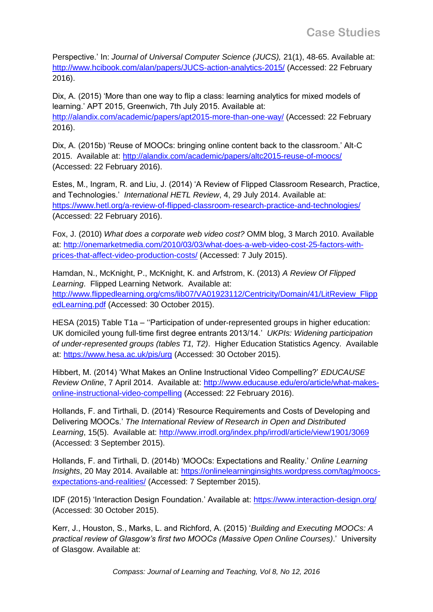Perspective.' In: *Journal of Universal Computer Science (JUCS),* 21(1), 48-65. Available at: <http://www.hcibook.com/alan/papers/JUCS-action-analytics-2015/> (Accessed: 22 February 2016).

Dix, A. (2015) 'More than one way to flip a class: learning analytics for mixed models of learning.' APT 2015, Greenwich, 7th July 2015. Available at: <http://alandix.com/academic/papers/apt2015-more-than-one-way/> (Accessed: 22 February 2016).

Dix, A. (2015b) 'Reuse of MOOCs: bringing online content back to the classroom.' Alt-C 2015. Available at:<http://alandix.com/academic/papers/altc2015-reuse-of-moocs/> (Accessed: 22 February 2016).

Estes, M., Ingram, R. and Liu, J. (2014) 'A Review of Flipped Classroom Research, Practice, and Technologies.' *International HETL Review*, 4, 29 July 2014. Available at: <https://www.hetl.org/a-review-of-flipped-classroom-research-practice-and-technologies/> (Accessed: 22 February 2016).

Fox, J. (2010) *What does a corporate web video cost?* OMM blog, 3 March 2010. Available at: [http://onemarketmedia.com/2010/03/03/what-does-a-web-video-cost-25-factors-with](http://onemarketmedia.com/2010/03/03/what-does-a-web-video-cost-25-factors-with-prices-that-affect-video-production-costs/)[prices-that-affect-video-production-costs/](http://onemarketmedia.com/2010/03/03/what-does-a-web-video-cost-25-factors-with-prices-that-affect-video-production-costs/) (Accessed: 7 July 2015).

Hamdan, N., McKnight, P., McKnight, K. and Arfstrom, K. (2013) *A Review Of Flipped Learning*. Flipped Learning Network. Available at: [http://www.flippedlearning.org/cms/lib07/VA01923112/Centricity/Domain/41/LitReview\\_Flipp](http://www.flippedlearning.org/cms/lib07/VA01923112/Centricity/Domain/41/LitReview_FlippedLearning.pdf) [edLearning.pdf](http://www.flippedlearning.org/cms/lib07/VA01923112/Centricity/Domain/41/LitReview_FlippedLearning.pdf) (Accessed: 30 October 2015).

HESA (2015) Table T1a – "Participation of under-represented groups in higher education: UK domiciled young full-time first degree entrants 2013/14.' *UKPIs: Widening participation of under-represented groups (tables T1, T2)*. Higher Education Statistics Agency. Available at:<https://www.hesa.ac.uk/pis/urg> (Accessed: 30 October 2015).

Hibbert, M. (2014) 'What Makes an Online Instructional Video Compelling?' *EDUCAUSE Review Online*, 7 April 2014. Available at: [http://www.educause.edu/ero/article/what-makes](http://www.educause.edu/ero/article/what-makes-online-instructional-video-compelling)[online-instructional-video-compelling](http://www.educause.edu/ero/article/what-makes-online-instructional-video-compelling) (Accessed: 22 February 2016).

Hollands, F. and Tirthali, D. (2014) 'Resource Requirements and Costs of Developing and Delivering MOOCs.' *The International Review of Research in Open and Distributed*  Learning, 15(5). Available at:<http://www.irrodl.org/index.php/irrodl/article/view/1901/3069> (Accessed: 3 September 2015).

Hollands, F. and Tirthali, D. (2014b) 'MOOCs: Expectations and Reality.' *Online Learning Insights*, 20 May 2014. Available at: [https://onlinelearninginsights.wordpress.com/tag/moocs](https://onlinelearninginsights.wordpress.com/tag/moocs-expectations-and-realities/)[expectations-and-realities/](https://onlinelearninginsights.wordpress.com/tag/moocs-expectations-and-realities/) (Accessed: 7 September 2015).

IDF (2015) 'Interaction Design Foundation.' Available at:<https://www.interaction-design.org/> (Accessed: 30 October 2015).

Kerr, J., Houston, S., Marks, L. and Richford, A. (2015) '*Building and Executing MOOCs: A practical review of Glasgow's first two MOOCs (Massive Open Online Courses)*.' University of Glasgow. Available at: